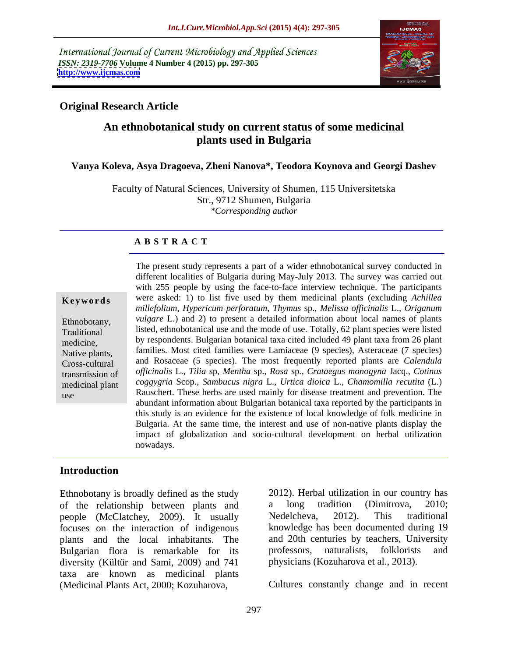International Journal of Current Microbiology and Applied Sciences *ISSN: 2319-7706* **Volume 4 Number 4 (2015) pp. 297-305 <http://www.ijcmas.com>**



## **Original Research Article**

# **An ethnobotanical study on current status of some medicinal plants used in Bulgaria**

## **Vanya Koleva, Asya Dragoeva, Zheni Nanova\*, Teodora Koynova and Georgi Dashev**

Faculty of Natural Sciences, University of Shumen, 115 Universitetska Str., 9712 Shumen, Bulgaria *\*Corresponding author*

#### **A B S T R A C T**

use

The present study represents a part of a wider ethnobotanical survey conducted in different localities of Bulgaria during May-July 2013. The survey was carried out with 255 people by using the face-to-face interview technique. The participants **Keywords** were asked: 1) to list five used by them medicinal plants (excluding *Achillea millefolium*, *Hypericum perforatum*, *Thymus* sp., *Melissa officinalis* L., *Origanum*  Ethnobotany, *vulgare L.*) and 2) to present a detailed information about local names of plants listed, ethnobotanical use and the mode of use. Totally, 62 plant species were listed Traditional by respondents. Bulgarian botanical taxa cited included 49 plant taxa from 26 plant medicine, Native plants, families. Most cited families were Lamiaceae (9 species), Asteraceae (7 species) and Rosaceae (5 species). The most frequently reported plants are *Calendula*  Cross-cultural *officinalis* L., *Tilia* sp, *Mentha* sp., *Rosa* sp*.*, *Crataegus monogyna* Jacq., *Cotinus*  transmission of *coggygria* Scop., *Sambucus nigra* L., *Urtica dioica* L., *Chamomilla recutita* (L.) medicinal plant Rauschert. These herbs are used mainly for disease treatment and prevention. The abundant information about Bulgarian botanical taxa reported by the participants in this study is an evidence for the existence of local knowledge of folk medicine in Bulgaria. At the same time, the interest and use of non-native plants display the impact of globalization and socio-cultural development on herbal utilization nowadays.

## **Introduction**

Ethnobotany is broadly defined as the study of the relationship between plants and a long tradition (Dimitrova, 2010; people (McClatchey, 2009). It usually Nedelcheva, 2012). This traditional focuses on the interaction of indigenous plants and the local inhabitants. The and 20th centuries by teachers, Univ<br>Bulgarian flora is remarkable for its professors, naturalists, folklorists Bulgarian flora is remarkable for its professors, naturalists, folklorists and diversity (Kültür and Sami, 2009) and 741 taxa are known as medicinal plants (Medicinal Plants Act, 2000; Kozuharova,

2012). Herbal utilization in our country has a long tradition (Dimitrova, 2010; Nedelcheva, 2012). This traditional knowledge has been documented during 19 and 20th centuries by teachers, University professors, naturalists, folklorists and physicians (Kozuharova et al., 2013).

Cultures constantly change and in recent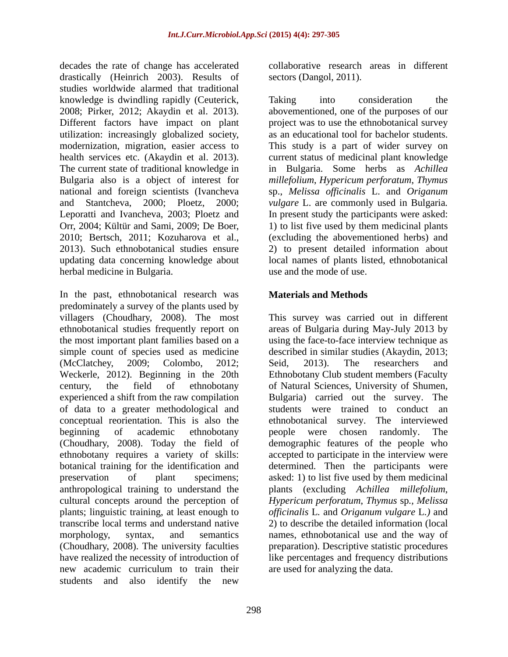decades the rate of change has accelerated drastically (Heinrich 2003). Results of studies worldwide alarmed that traditional knowledge is dwindling rapidly (Ceuterick, 2008; Pirker, 2012; Akaydin et al. 2013). Different factors have impact on plant utilization: increasingly globalized society, as an educational tool for bachelor students. modernization, migration, easier access to This study is a part of wider survey on health services etc. (Akaydin et al. 2013). current status of medicinal plant knowledge The current state of traditional knowledge in in Bulgaria. Some herbs as *Achillea* Bulgaria also is a object of interest for *millefolium*, *Hypericum perforatum*, *Thymus* national and foreign scientists (Ivancheva sp., *Melissa officinalis* L. and *Origanum* and Stantcheva, 2000; Ploetz, 2000; *vulgare* L. are commonly used in Bulgaria*.* Leporatti and Ivancheva, 2003; Ploetz and In present study the participants were asked: Orr, 2004; Kültür and Sami, 2009; De Boer, 1) to list five used by them medicinal plants 2010; Bertsch, 2011; Kozuharova et al., (excluding the abovementioned herbs) and 2013). Such ethnobotanical studies ensure 2) to present detailed information about updating data concerning knowledge about local names of plants listed, ethnobotanical herbal medicine in Bulgaria.

In the past, ethnobotanical research was **Materials and Methods** predominately a survey of the plants used by villagers (Choudhary, 2008). The most This survey was carried out in different ethnobotanical studies frequently report on areas of Bulgaria during May-July 2013 by the most important plant families based on a using the face-to-face interview technique as simple count of species used as medicine described in similar studies (Akaydin, 2013; (McClatchey, 2009; Colombo, 2012; Seid, 2013). The researchers and Weckerle, 2012). Beginning in the 20th Ethnobotany Club student members (Faculty century, the field of ethnobotany of Natural Sciences, University of Shumen, experienced a shift from the raw compilation Bulgaria) carried out the survey. The of data to a greater methodological and conceptual reorientation. This is also the ethnobotanical survey. The interviewed beginning of academic ethnobotany beople were chosen randomly. The (Choudhary, 2008). Today the field of ethnobotany requires a variety of skills: accepted to participate in the interview were botanical training for the identification and determined. Then the participants were preservation of plant specimens; asked: 1) to list five used by them medicinal anthropological training to understand the plants (excluding *Achillea millefolium*, cultural concepts around the perception of *Hypericum perforatum*, *Thymus* sp*., Melissa* plants; linguistic training, at least enough to *officinalis* L*.* and *Origanum vulgare* L*.)* and transcribe local terms and understand native 2) to describe the detailed information (local morphology, syntax, and semantics names, ethnobotanical use and the way of (Choudhary, 2008). The university faculties preparation). Descriptive statistic procedures have realized the necessity of introduction of like percentages and frequency distributions new academic curriculum to train their students and also identify the new

collaborative research areas in different sectors (Dangol, 2011).

Taking into consideration the abovementioned, one of the purposes of our project was to use the ethnobotanical survey (excluding the abovementioned herbs) and 2) to present detailed information about use and the mode of use.

# **Materials and Methods**

Seid, 2013). The researchers and of Natural Sciences, University of Shumen, Bulgaria) carried out the survey. The students were trained to conduct an people were chosen randomly. The demographic features of the people who are used for analyzing the data.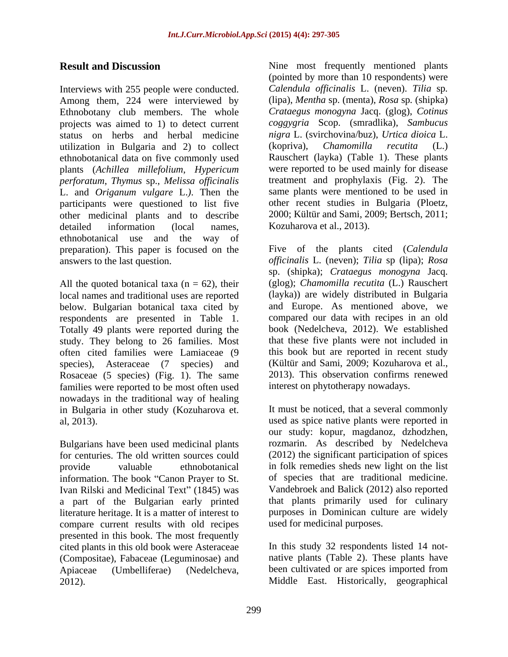Interviews with 255 people were conducted. Among them, 224 were interviewed by Ethnobotany club members. The whole projects was aimed to 1) to detect current *coggygria* Scop. (smradlika), *Sambucus*  status on herbs and herbal medicine *nigra* L. (svirchovina/buz), Urtica did<br>utilization in Bulgaria and 2) to collect (kopriva), *Chamomilla recutita* utilization in Bulgaria and 2) to collect (kopriva), *Chamomilla recutita* (L.) ethnobotanical data on five commonly used plants (*Achillea millefolium*, *Hypericum perforatum*, *Thymus* sp., *Melissa officinalis* L. and *Origanum vulgare* L.). Then the same plants were mentioned to be used in participants were questioned to list five other recent studies in Bulgaria (Ploetz, participants were questioned to list five other recent studies in Bulgaria (Ploetz, other medicinal plants and to describe 2000; Kültür and Sami, 2009; Bertsch, 2011; other medicinal plants and to describe detailed information (local names, Kozuharova et al., 2013). ethnobotanical use and the way of preparation). This paper is focused on the **Result and Discussion** Vacanosis (Vacanosis) (Contour Contour frequently mentioned plants<br>Characteristics (Contour Contour Contour Contour Contour Contour Contour Contour Contour Contour Contour Contour Contour Contour C

All the quoted botanical taxa ( $n = 62$ ), their local names and traditional uses are reported below. Bulgarian botanical taxa cited by respondents are presented in Table 1. Totally 49 plants were reported during the study. They belong to 26 families. Most often cited families were Lamiaceae (9 Rosaceae (5 species) (Fig. 1). The same families were reported to be most often used nowadays in the traditional way of healing in Bulgaria in other study (Kozuharova et.

Bulgarians have been used medicinal plants information. The book "Canon Prayer to St. of species that are traditional medicine.<br>
Ivan Rilski and Medicinal Text" (1845) was Vandebroek and Balick (2012) also reported Ivan Rilski and Medicinal Text" (1845) was a part of the Bulgarian early printed literature heritage. It is a matter of interest to compare current results with old recipes presented in this book. The most frequently cited plants in this old book were Asteraceae (Compositae), Fabaceae (Leguminosae) and

**Result and Discussion** Nine most frequently mentioned plants (pointed by more than 10 respondents) were *Calendula of icinalis* L. (neven). *Tilia* sp*.* (lipa), *Mentha* sp. (menta), *Rosa* sp*.* (shipka) *Crataegus monogyna* Jacq. (glog), *Cotinus nigra* L. (svirchovina/buz), *Urtica dioica* L. (kopriva), *Chamomilla recutita* (L.) Rauschert (layka) (Table 1). These plants were reported to be used mainly for disease treatment and prophylaxis (Fig. 2). The same plants were mentioned to be used in other recent studies in Bulgaria (Ploetz, 2000; Kültür and Sami, 2009; Bertsch, 2011; Kozuharova et al., 2013).

answers to the last question. *officinalis* L. (neven); *Tilia* sp (lipa); *Rosa* species), Asteraceae (7 species) and (Kültür and Sami, 2009; Kozuharova et al., Five of the plants cited (*Calendula*  sp. (shipka); *Crataegus monogyna* Jacq. (glog); *Chamomilla recutita* (L.) Rauschert (layka)) are widely distributed in Bulgaria and Europe. As mentioned above, we compared our data with recipes in an old book (Nedelcheva, 2012). We established that these five plants were not included in this book but are reported in recent study 2013). This observation confirms renewed interest on phytotherapy nowadays.

al, 2013). used as spice native plants were reported in for centuries. The old written sources could (2012) the significant participation of spices provide valuable ethnobotanical in folk remedies sheds new light on the list It must be noticed, that a several commonly our study: kopur, magdanoz, dzhodzhen, rozmarin. As described by Nedelcheva of species that are traditional medicine. Vandebroek and Balick (2012) also reported that plants primarily used for culinary purposes in Dominican culture are widely used for medicinal purposes.

> In this study 32 respondents listed 14 not native plants (Table 2). These plants have been cultivated or are spices imported from Middle East. Historically, geographical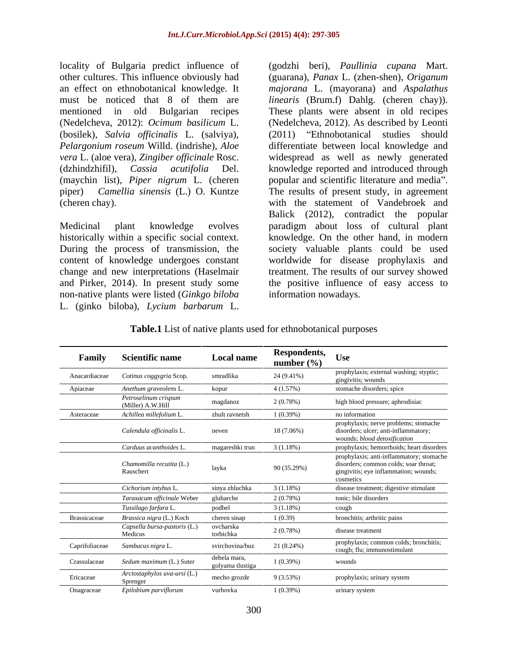locality of Bulgaria predict influence of (godzhi beri), Paullinia cupana Mart. other cultures. This influence obviously had (guarana), Panax L. (zhen-shen), Origanum *Pelargonium roseum* Willd. (indrishe), *Aloe* (maychin list), *Piper nigrum* L. (cheren

non-native plants were listed (*Ginkgo biloba*

an effect on ethnobotanical knowledge. It *majorana* L. (mayorana) and *Aspalathus*  must be noticed that 8 of them are *linearis* (Brum.f) Dahlg. (cheren chay)). mentioned in old Bulgarian recipes These plants were absent in old recipes (Nedelcheva, 2012): *Ocimum basilicum* L. (Nedelcheva, 2012). As described by Leonti (bosilek), *Salvia officinalis* L. (salviya), (2011) "Ethnobotanical studies should *vera* L. (aloe vera), *Zingiber officinale* Rosc. widespread as well as newly generated (dzhindzhifil), *Cassia acutifolia* Del. knowledge reported and introduced through piper) *Camellia sinensis* (L.) O. Kuntze The results of present study, in agreement (cheren chay). with the statement of Vandebroek and Medicinal plant knowledge evolves paradigm about loss of cultural plant historically within a specific social context. knowledge. On the other hand, in modern During the process of transmission, the society valuable plants could be used content of knowledge undergoes constant worldwide for disease prophylaxis and change and new interpretations (Haselmair treatment. The results of our survey showed and Pirker, 2014). In present study some the positive influence of easy access to Iocality of Bulgaria predict influence of (godzhi beri), *Paullinia cupana* Mart.<br>
other cultures. This influence obvionsly had (guarana), *Pauras* L. (zhen-shen, *Origanum*<br>
ann effect on ethnolotanical knowledge. It *maj* (Nedelcheva, 2012). As described by Leonti (2011) Ethnobotanical studies should differentiate between local knowledge and popular and scientific literature and media". Balick (2012), contradict the popular information nowadays.

| <b>Table.1</b> List of native plants used for ethnobotanical purposes |  |
|-----------------------------------------------------------------------|--|
|-----------------------------------------------------------------------|--|

| Family              | <b>Scientific name</b>                    | Local name                       | Respondents, Use<br>number $(\% )$ |                                                                                                                                         |
|---------------------|-------------------------------------------|----------------------------------|------------------------------------|-----------------------------------------------------------------------------------------------------------------------------------------|
| Anacardiaceae       | Cotinus coggygria Scop.                   | smradlika                        | 24 (9.41%)                         | prophylaxis; external washing; styptic;<br>gingivitis; wounds                                                                           |
| Apiaceae            | Anethum graveolens I                      | kopur                            | 4(1.57%)                           | stomache disorders; spice                                                                                                               |
|                     | Petroselinum crispum<br>(Miller) A.W.Hill | magdanoz                         | 2(0.78%)                           | high blood pressure; aphrodisiac                                                                                                        |
| Asteraceae          | Achillea millefolium                      | zhult ravnetsh                   | $1(0.39\%)$                        | no information                                                                                                                          |
|                     | Calendula officinalis L.                  | neven                            | $18(7.06\%)$                       | prophylaxis; nerve problems; stomache<br>disorders; ulcer; anti-inflammatory;<br>wounds; blood detoxification                           |
|                     | Carduus acanthoides I                     | magareshki trun                  | $3(1.18\%)$                        | prophylaxis; hemorrhoids; heart disorders                                                                                               |
|                     | Chamomilla recutita (L.)<br>Rauschert     | layka                            | 90 (35.29%)                        | prophylaxis; anti-inflammatory; stomache<br>disorders; common colds; soar throat;<br>gingivitis; eye inflammation; wounds;<br>cosmetics |
|                     | Cichorium intybus L                       | sinya zhluchka                   | $3(1.18\%)$                        | disease treatment; digestive stimulant                                                                                                  |
|                     | Taraxacum officinale Weber                | gluharche                        | 2(0.78%)                           | tonic; bile disorders                                                                                                                   |
|                     | Tussilago farfara L.                      | podbel                           | $3(1.18\%)$                        | cough                                                                                                                                   |
| <b>Brassicaceae</b> | Brassica nigra (L.) Koch                  | cheren sinap                     | 1(0.39)                            | bronchitis; arthritic pains                                                                                                             |
|                     | Capsella bursa-pastoris (L.)<br>Medicus   | ovcharska<br>torbichka           | 2(0.78%)                           | disease treatment                                                                                                                       |
| Caprifoliaceae      | Sambucus nigra L.                         | svirchovina/buz                  | 21 (8.24%)                         | prophylaxis; common colds; bronchitis;<br>cough; flu; immunostimulant                                                                   |
| Crassulaceae        | Sedum maximum (L.) Suter                  | debela mara,<br>golyama tlustiga | $1(0.39\%)$                        | wounds                                                                                                                                  |
| Ericaceae           | Arctostaphylos uva-ursi (L.)<br>Sprenger  | mecho grozde                     | 9(3.53%)                           | prophylaxis; urinary system                                                                                                             |
| Onagraceae          | Epilobium parviflorum                     | vurbovka                         | $1(0.39\%)$                        | urinary system                                                                                                                          |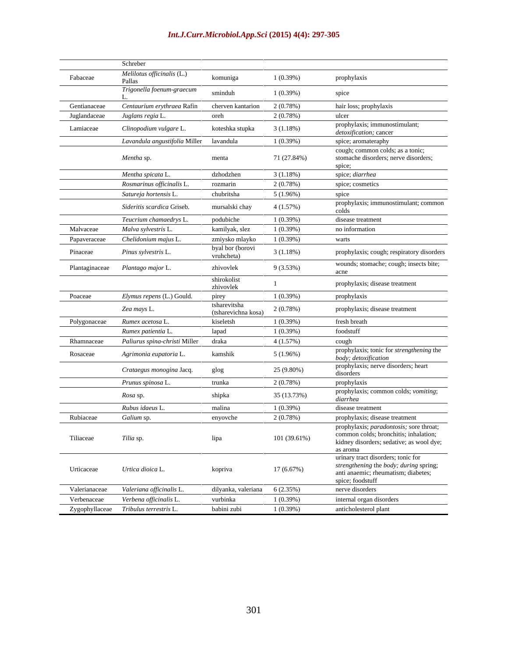|               | Schreber                                |                                     |              |                                                                                                                                          |
|---------------|-----------------------------------------|-------------------------------------|--------------|------------------------------------------------------------------------------------------------------------------------------------------|
| Fabaceae      | Melilotus officinalis (L.)<br>Pallas    | komuniga                            | 1(0.39%)     | prophylaxis                                                                                                                              |
|               | Trigonella foenum-graecum               | sminduh                             | 1(0.39%)     | spice                                                                                                                                    |
| Gentianaceae  | Centaurium erythraea Rafin              | cherven kantarion                   | 2(0.78%)     | hair loss; prophylaxis                                                                                                                   |
| Juglandaceae  | Juglans regia L                         | oreh                                | 2(0.78%)     | ulcer                                                                                                                                    |
| Lamiaceae     | Clinopodium vulgare L.                  | koteshka stupka                     | 3(1.18%)     | prophylaxis; immunostimulant;<br><i>detoxification</i> ; cancer                                                                          |
|               | Lavandula angustifolia Miller lavandula |                                     | 1(0.39%)     | spice; aromateraphy                                                                                                                      |
|               | Mentha sp.                              | menta                               | 71 (27.84%)  | cough; common colds; as a tonic;<br>stomache disorders; nerve disorders;<br>spice;                                                       |
|               | Mentha spicata L.                       | dzhodzhen                           | $3(1.18\%)$  | spice; diarrhea                                                                                                                          |
|               | Rosmarinus officinalis L                | rozmarin                            | 2(0.78%)     | spice; cosmetics                                                                                                                         |
|               | Satureja hortensis L.                   | chubritsha                          | $5(1.96\%)$  | spice                                                                                                                                    |
|               | Sideritis scardica Griseb.              | mursalski chay                      | 4(1.57%)     | prophylaxis; immunostimulant; common<br>colds                                                                                            |
|               | Teucrium chamaedrys L                   | podubiche                           | 1(0.39%)     | disease treatment                                                                                                                        |
| Malvaceae     | Malva sylvestris L.                     | kamilyak, slez                      | 1(0.39%)     | no information                                                                                                                           |
| Papaveraceae  | Chelidonium majus L.                    | zmiysko mlayko                      | 1(0.39%)     | warts                                                                                                                                    |
| Pinaceae      | Pinus sylvestris L.                     | byal bor (borovi<br>vruhcheta)      | 3(1.18%)     | prophylaxis; cough; respiratory disorders                                                                                                |
|               | Plantaginaceae Plantago major L.        | zhivovlek                           | 9(3.53%)     | wounds; stomache; cough; insects bite;<br>acne                                                                                           |
|               |                                         | shirokolist<br>zhivovlek            |              | prophylaxis; disease treatment                                                                                                           |
| Poaceae       | Elymus repens (L.) Gould.               | pirey                               | 1(0.39%)     | prophylaxis                                                                                                                              |
|               | Zea mays L.                             | tsharevitsha<br>(tsharevichna kosa) | 2(0.78%)     | prophylaxis; disease treatment                                                                                                           |
| Polygonaceae  | Rumex acetosa L.                        | kiseletsh                           | 1(0.39%)     | fresh breath                                                                                                                             |
|               | Rumex patientia L                       | lapad                               | 1(0.39%)     | foodstuff                                                                                                                                |
| Rhamnaceae    | Paliurus spina-christi Miller           | draka                               | 4(1.57%)     | cough                                                                                                                                    |
| Rosaceae      | Agrimonia eupatoria L.                  | kamshik                             | 5(1.96%)     | prophylaxis; tonic for strengthening the<br>body; detoxification                                                                         |
|               | Crataegus monogina Jacq.                | glog                                | 25 (9.80%)   | prophylaxis; nerve disorders; heart<br>disorders                                                                                         |
|               | Prunus spinosa L.                       | trunka                              | 2(0.78%)     | prophylaxis                                                                                                                              |
|               | <i>Rosa</i> sp.                         | shipka                              | 35 (13.73%)  | prophylaxis; common colds; vomiting;<br>diarrhea                                                                                         |
|               | Rubus idaeus L                          | malina                              | 1(0.39%)     | disease treatment                                                                                                                        |
| Rubiaceae     | Galium sp.                              | enyovche                            | 2(0.78%)     | prophylaxis; disease treatment                                                                                                           |
| Tiliaceae     | Tilia sp.                               | lipa                                | 101 (39.61%) | prophylaxis; paradontosis; sore throat;<br>common colds; bronchitis; inhalation;<br>kidney disorders; sedative; as wool dye;<br>as aroma |
| Urticaceae    | Urtica dioica L.                        | kopriva                             | 17 (6.67%)   | urinary tract disorders; tonic for<br>strengthening the body; during spring;<br>anti anaemic; rheumatism; diabetes;<br>spice; foodstuff  |
| Valerianaceae | Valeriana officinalis L                 | dilyanka, valeriana                 | 6(2.35%)     | nerve disorders                                                                                                                          |
| Verbenaceae   | Verbena officinalis L.                  | vurbinka                            | 1(0.39%)     | internal organ disorders                                                                                                                 |
|               | Zygophyllaceae Tribulus terrestris L.   | babini zubi                         | 1(0.39%)     | anticholesterol plant                                                                                                                    |

### *Int.J.Curr.Microbiol.App.Sci* **(2015) 4(4): 297-305**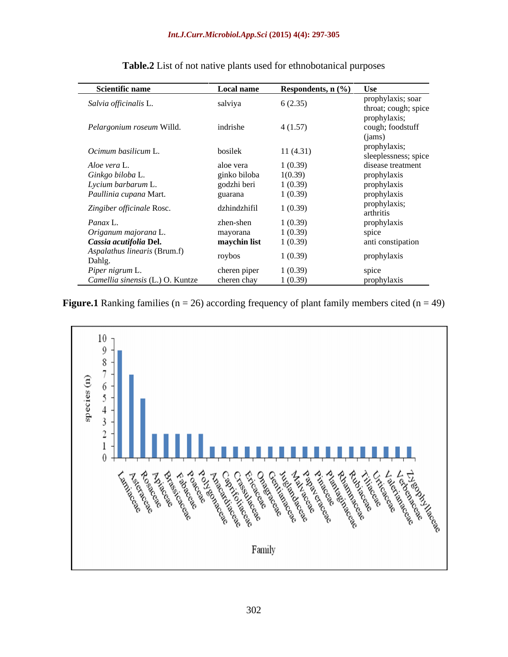| <b>Scientific name</b>           | Local name   | Respondents, $n$ (%) | Use                  |
|----------------------------------|--------------|----------------------|----------------------|
| Salvia officinalis L.            | salviya      | 6(2.35)              | prophylaxis; soar    |
|                                  |              |                      | throat; cough; spice |
|                                  |              |                      | prophylaxis;         |
| Pelargonium roseum Willd.        | indrishe     | 4(1.57)              | cough; foodstuff     |
|                                  |              |                      | (jams)               |
| Ocimum basilicum L.<br>bosilek   |              | 11(4.31)             | prophylaxis;         |
|                                  |              |                      | sleeplessness; spice |
| Aloe vera L.                     | aloe vera    | 1(0.39)              | disease treatment    |
| Ginkgo biloba L.                 | ginko biloba | 1(0.39)              | prophylaxis          |
| Lycium barbarum L.               | godzhi beri  | 1(0.39)              | prophylaxis          |
| Paullinia cupana Mart.           | guarana      | 1(0.39)              | prophylaxis          |
| Zingiber officinale Rosc.        | dzhindzhifil | 1(0.39)              | prophylaxis;         |
|                                  |              |                      | arthritis            |
| Panax L.                         | zhen-shen    | 1(0.39)              | prophylaxis          |
| Origanum majorana L.             | mayorana     | 1(0.39)              | spice                |
| Cassia acutifolia Del.           | maychin list | 1(0.39)              | anti constipation    |
| Aspalathus linearis (Brum.f)     | roybos       | 1(0.39)              | prophylaxis          |
| Dahlg.                           |              |                      |                      |
| Piper nigrum L.                  | cheren piper | 1(0.39)              | spice                |
| Camellia sinensis (L.) O. Kuntze | cheren chay  | 1(0.39)              | prophylaxis          |

**Table.2** List of not native plants used for ethnobotanical purposes

**Figure.1** Ranking families ( $n = 26$ ) according frequency of plant family members cited ( $n = 49$ )

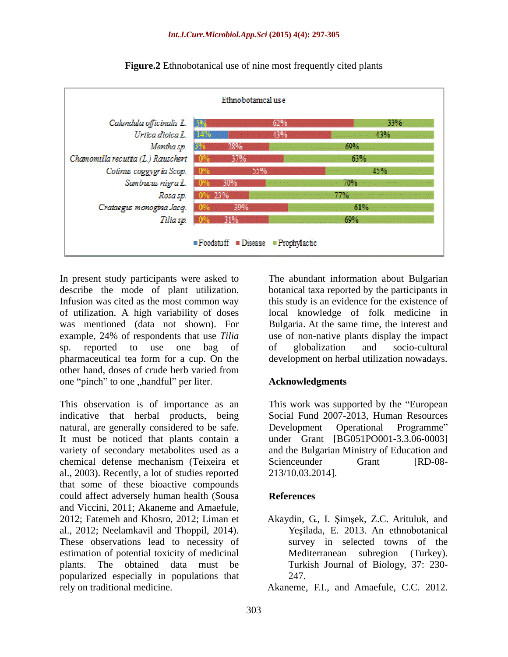

**Figure.2** Ethnobotanical use of nine most frequently cited plants

In present study participants were asked to The abundant information about Bulgarian describe the mode of plant utilization. Infusion was cited as the most common way this study is an evidence for the existence of of utilization. A high variability of doses was mentioned (data not shown). For Bulgaria. At the same time, the interest and example, 24% of respondents that use *Tilia* use of non-native plants display the impact sp. reported to use one bag of pharmaceutical tea form for a cup. On the development on herbal utilization nowadays. other hand, doses of crude herb varied from one "pinch" to one "handful" per liter.

This observation is of importance as an This work was supported by the "European indicative that herbal products, being natural, are generally considered to be safe. Development Operational Programme" It must be noticed that plants contain a under Grant [BG051PO001-3.3.06-0003] variety of secondary metabolites used as a and the Bulgarian Ministry of Education and chemical defense mechanism (Teixeira et al., 2003). Recently, a lot of studies reported that some of these bioactive compounds could affect adversely human health (Sousa and Viccini, 2011; Akaneme and Amaefule,<br>2012; Fatemeh and Khosro, 2012; Liman et Akaydin, G., I. Şimşek, Z.C. Arituluk, and al., 2012; Neelamkavil and Thoppil, 2014). These observations lead to necessity of estimation of potential toxicity of medicinal popularized especially in populations that rely on traditional medicine. Akaneme, F.I., and Amaefule, C.C. 2012.

botanical taxa reported by the participants in local knowledge of folk medicine in of globalization and socio-cultural

# **Acknowledgments**

Social Fund 2007-2013, Human Resources Development Operational Programme Scienceunder Grant [RD-08-213/10.03.2014].

## **References**

plants. The obtained data must be Turkish Journal of Biology, 37: 230- Akaydin, G., I. Şimşek, Z.C. Arituluk, and Yeşilada, E. 2013. An ethnobotanical survey in selected towns of the Mediterranean subregion (Turkey). 247.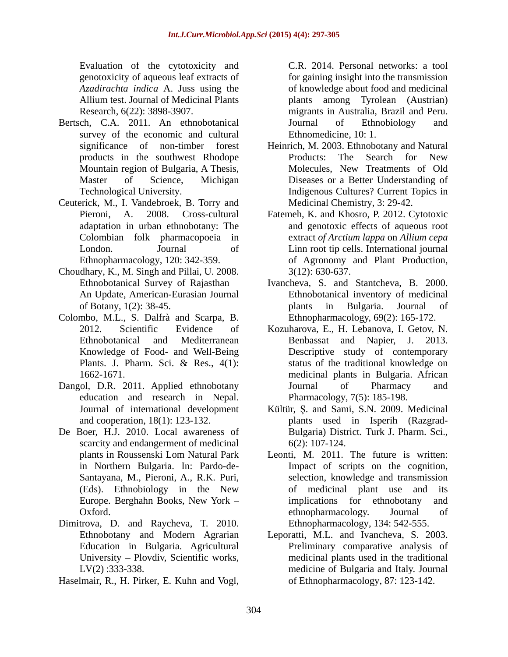Evaluation of the cytotoxicity and C.R. 2014. Personal networks: a tool

- Bertsch, C.A. 2011. An ethnobotanical Journal of Ethnobiology and survey of the economic and cultural
- Ceuterick, M., I. Vandebroek, B. Torry and
- Choudhary, K., M. Singh and Pillai, U. 2008.
- Colombo, M.L., S. Dalfrà and Scarpa, B.
- Dangol, D.R. 2011. Applied ethnobotany **Solutionary** Journal of Pharmacy and education and research in Nepal.
- De Boer, H.J. 2010. Local awareness of scarcity and endangerment of medicinal 6(2): 107-124. From the epotyosics) and the epotyosics) and the epotyosics) and the endomlog solution of the endomlog solution of the state of the state of the state of the state of the state of the state of the state of the state of th
- Dimitrova, D. and Raycheva, T. 2010. University - Plovdiv, Scientific works,
- 

genotoxicity of aqueous leaf extracts of for gaining insight into the transmission *Azadirachta indica* A. Juss using the of knowledge about food and medicinal Allium test. Journal of Medicinal Plants plants among Tyrolean (Austrian) Research, 6(22): 3898-3907. migrants in Australia, Brazil and Peru. Journal of Ethnobiology and Ethnomedicine, 10: 1.

- significance of non-timber forest Heinrich, M. 2003.Ethnobotany and Natural products in the southwest Rhodope Mountain region of Bulgaria, A Thesis, Master of Science, Michigan Diseases or a Better Understanding of Technological University. Indigenous Cultures? Current Topics in Products: The Search for New Molecules, New Treatments of Old Medicinal Chemistry, 3: 29-42.
- Pieroni, A. 2008. Cross-cultural Fatemeh, K. and Khosro, P. 2012. Cytotoxic adaptation in urban ethnobotany: The and genotoxic effects of aqueous root Colombian folk pharmacopoeia in extract *of Arctium lappa* on *Allium cepa*  London. Journal of Linn root tip cells. International journal Ethnopharmacology, 120: 342-359. of Agronomy and Plant Production, 3(12): 630-637.
- Ethnobotanical Survey of Rajasthan Ivancheva, S. and Stantcheva, B. 2000. An Update, American-Eurasian Journal Ethnobotanical inventory of medicinal of Botany, 1(2): 38-45. b plants in Bulgaria. Journal of plants in Bulgaria. Journal of Ethnopharmacology, 69(2): 165-172.
- 2012. Scientific Evidence of Kozuharova, E., H. Lebanova, I. Getov, N. Ethnobotanical and Mediterranean Benbassat and Napier, J. 2013. Knowledge of Food- and Well-Being Descriptive study of contemporary Plants. J. Pharm. Sci. & Res., 4(1): status of the traditional knowledge on 1662-1671. medicinal plants in Bulgaria. African status of the traditional knowledge on Journal of Pharmacy and Pharmacology, 7(5): 185-198.
- Journal of international development Kültür, Ş. and Sami, S.N. 2009. Medicinal and cooperation, 18(1): 123-132. plants used in Isperih (Razgrad- Bulgaria) District. Turk J. Pharm. Sci., 6(2): 107-124.
- plants in Roussenski Lom Natural Park Leonti, M. 2011. The future is written: in Northern Bulgaria. In: Pardo-de- Impact of scripts on the cognition, Santayana, M., Pieroni, A., R.K. Puri, selection, knowledge and transmission (Eds). Ethnobiology in the New Europe. Berghahn Books, New York – implications for ethnobotany and Oxford. by the ethnopharmacology. Journal of of medicinal plant use and its implications for ethnobotany ethnopharmacology. Journal of Ethnopharmacology, 134: 542-555.
- Ethnobotany and Modern Agrarian Leporatti, M.L. and Ivancheva, S. 2003. Education in Bulgaria. Agricultural Preliminary comparative analysis of LV(2) :333-338. medicine of Bulgaria and Italy. Journal medicinal plants used in the traditional of Ethnopharmacology, 87: 123-142.